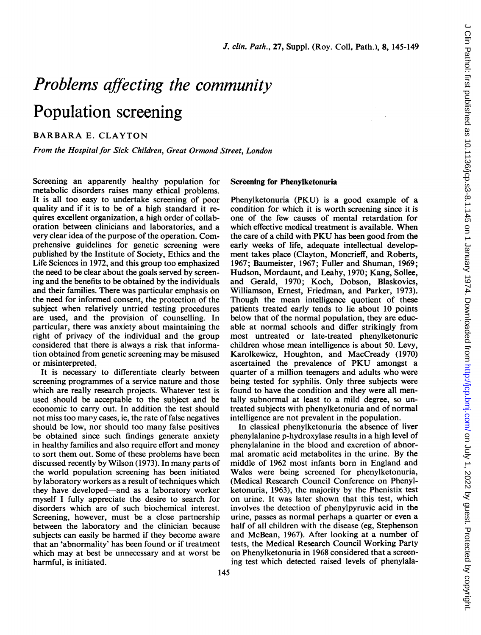# Problems affecting the community Population screening

## BARBARA E. CLAYTON

From the Hospital for Sick Children, Great Ormond Street, London

Screening an apparently healthy population for metabolic disorders raises many ethical problems. It is all too easy to undertake screening of poor quality and if it is to be of a high standard it requires excellent organization, a high order of collaboration between clinicians and laboratories, and a very clear idea of the purpose of the operation. Comprehensive guidelines for genetic screening were published by the Institute of Society, Ethics and the Life Sciences in 1972, and this group too emphasized the need to be clear about the goals served by screening and the benefits to be obtained by the individuals and their families. There was particular emphasis on the need for informed consent, the protection of the subject when relatively untried testing procedures are used, and the provision of counselling. In particular, there was anxiety about maintaining the right of privacy of the individual and the group considered that there is always a risk that information obtained from genetic screening may be misused or misinterpreted.

It is necessary to differentiate clearly between screening programmes of a service nature and those which are really research projects. Whatever test is used should be acceptable to the subject and be economic to carry out. In addition the test should not miss too mary cases, ie, the rate of false negatives should be low, nor should too many false positives be obtained since such findings generate anxiety in healthy families and also require effort and money to sort them out. Some of these problems have been discussed recently by Wilson (1973). In many parts of the world population screening has been initiated by laboratory workers as a result of techniques which they have developed-and as a laboratory worker myself I fully appreciate the desire to search for disorders which are of such biochemical interest. Screening, however, must be a close partnership between the laboratory and the clinician because subjects can easily be harmed if they become aware that an 'abnormality' has been found or if treatment which may at best be unnecessary and at worst be harmful, is initiated.

### Screening for Phenylketonuria

Phenylketonuria (PKU) is a good example of a condition for which it is worth screening since it is one of the few causes of mental retardation for which effective medical treatment is available. When the care of <sup>a</sup> child with PKU has been good from the early weeks of life, adequate intellectual development takes place (Clayton, Moncrieff, and Roberts, 1967; Baumeister, 1967; Fuller and Shuman, 1969; Hudson, Mordaunt, and Leahy, 1970; Kang, Sollee, and Gerald, 1970; Koch, Dobson, Blaskovics, Williamson, Ernest, Friedman, and Parker, 1973). Though the mean intelligence quotient of these patients treated early tends to lie about 10 points below that of the normal population, they are educable at normal schools and differ strikingly from most untreated or late-treated phenylketonuric children whose mean intelligence is about 50. Levy, Karolkewicz, Houghton, and MacCready (1970) ascertained the prevalence of PKU amongst <sup>a</sup> quarter of a million teenagers and adults who were being tested for syphilis. Only three subjects were found to have the condition and they were all mentally subnormal at least to a mild degree, so untreated subjects with phenylketonuria and of normal intelligence are not prevalent in the population.

In classical phenylketonuria the absence of liver phenylalanine p-hydroxylase results in a high level of phenylalanine in the blood and excretion of abnormal aromatic acid metabolites in the urine. By the middle of 1962 most infants born in England and Wales were being screened for phenylketonuria, (Medical Research Council Conference on Phenylketonuria, 1963), the majority by the Phenistix test on urine. It was later shown that this test, which involves the detection of phenylpyruvic acid in the urine, passes as normal perhaps a quarter or even a half of all children with the disease (eg, Stephenson and McBean, 1967). After looking at a number of tests, the Medical Research Council Working Party on Phenylketonuria in 1968 considered that a screening test which detected raised levels of phenylala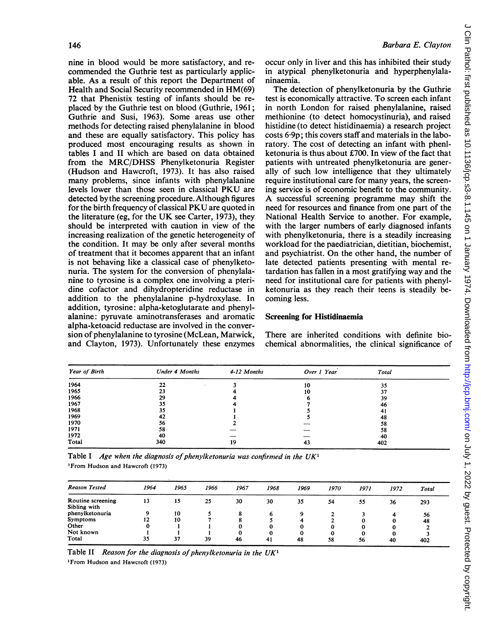nine in blood would be more satisfactory, and recommended the Guthrie test as particularly applicable. As a result of this report the Department of Health and Social Security recommended in HM(69) 72 that Phenistix testing of infants should be replaced by the Guthrie test on blood (Guthrie, 1961; Guthrie and Susi, 1963). Some areas use other methods for detecting raised phenylalanine in blood and these are equally satisfactory. This policy has produced most encouraging results as shown in tables <sup>I</sup> and II which are based on data obtained from the MRC/DHSS Phenylketonuria Register (Hudson and Hawcroft, 1973). It has also raised many problems, since infants with phenylalanine levels lower than those seen in classical PKU are detected bythe screening procedure. Although figures for the birth frequency of classical PKU are quoted in the literature (eg, for the UK see Carter, 1973), they should be interpreted with caution in view of the increasing realization of the genetic heterogeneity of the condition. It may be only after several months of treatment that it becomes apparent that an infant is not behaving like a classical case of phenylketonuria. The system for the conversion of phenylalanine to tyrosine is a complex one involving a pteridine cofactor and dihydropteridine reductase in addition to the phenylalanine p-hydroxylase. In addition, tyrosine: alpha-ketoglutarate and phenylalanine: pyruvate aminotransferases and aromatic alpha-ketoacid reductase are involved in the conversion of phenylalanine to tyrosine (McLean, Marwick, and Clayton, 1973). Unfortunately these enzymes occur only in liver and this has inhibited their study in atypical phenylketonuria and hyperphenylalaninaemia.

The detection of phenylketonuria by the Guthrie test is economically attractive. To screen each infant in north London for raised phenylalanine, raised methionine (to detect homocystinuria), and raised histidine (to detect histidinaemia) a research project costs 6-9p; this covers staff and materials in the laboratory. The cost of detecting an infant with phenlketonuria is thus about £700. In view of the fact that patients with untreated phenylketonuria are generally of such low intelligence that they ultimately require institutional care for many years, the screening service is of economic benefit to the community. A successful screening programme may shift the need for resources and finance from one part of the National Health Service to another. For example, with the larger numbers of early diagnosed infants with phenylketonuria, there is a steadily increasing workload for the paediatrician, dietitian, biochemist, and psychiatrist. On the other hand, the number of late detected patients presenting with mental retardation has fallen in a most gratifying way and the need for institutional care for patients with phenylketonuria as they reach their teens is steadily becoming less.

#### Screening for Histidinaemia

There are inherited conditions with definite biochemical abnormalities, the clinical significance of

| Year of Birth | <b>Under 4 Months</b> | 4-12 Months | Over 1 Year | Total |  |
|---------------|-----------------------|-------------|-------------|-------|--|
| 1964          | 22                    |             | 10          | 35    |  |
| 1965          | 23                    |             | 10          |       |  |
| 1966          | 29                    |             |             | 39    |  |
| 1967          | 35                    |             |             | 46    |  |
| 1968          | 35                    |             |             | 41    |  |
| 1969          | 42                    |             |             | 48    |  |
| 1970          | 56                    |             |             | 58    |  |
| 1971          | 58                    |             |             | 58    |  |
| 1972          | 40                    |             |             | 40    |  |
| Total         | 340                   | 19          | 43          | 402   |  |

Table I Age when the diagnosis of phenylketonuria was confirmed in the  $UK<sup>1</sup>$ 'From Hudson and Hawcroft (1973)

| <b>Reason Tested</b>              | 1964 | 1965 | 1966 | 1967 | 1968 | 1969 | 1970 | 1971 | 1972 | Total |
|-----------------------------------|------|------|------|------|------|------|------|------|------|-------|
| Routine screening<br>Sibling with | 13   | 15   | 25   | 30   | 30   | 35   | 54   | 55   | 36   | 293   |
| phenylketonuria                   | 9    | 10   |      |      | n    |      |      |      |      | 56    |
| Symptoms                          | 12   | 10   |      | 6    |      | 4    |      |      |      | 48    |
| Other                             |      |      |      | 0    | 0    | 0    |      |      |      |       |
| Not known                         |      |      |      | 0    | 0    | 0    | 0    |      |      |       |
| Total                             | 35   | 37   | 39   | 46   | 41   | 48   | 58   | 56   | 40   | 402   |

Table II Reason for the diagnosis of phenylketonuria in the  $UK<sup>1</sup>$ 'From Hudson and Hawcroft (1973)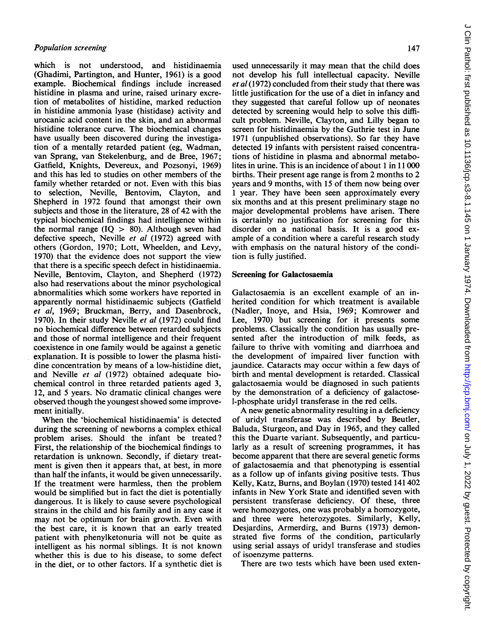which is not understood, and histidinaemia (Ghadimi, Partington, and Hunter, 1961) is a good example. Biochemical findings include increased histidine in plasma and urine, raised urinary excretion of metabolites of histidine, marked reduction in histidine ammonia lyase (histidase) activity and urocanic acid content in the skin, and an abnormal histidine tolerance curve. The biochemical changes have usually been discovered during the investigation of a mentally retarded patient (eg, Wadman, van Sprang, van Stekelenburg, and de Bree, 1967; Gatfield, Knights, Devereux, and Pozsonyi, 1969) and this has led to studies on other members of the family whether retarded or not. Even with this bias to selection, Neville, Bentovim, Clayton, and Shepherd in 1972 found that amongst their own subjects and those in the literature, 28 of 42 with the typical biochemical findings had intelligence within the normal range  $(IO > 80)$ . Although seven had defective speech, Neville et al (1972) agreed with others (Gordon, 1970; Lott, Wheelden, and Levy, 1970) that the evidence does not support the view that there is a specific speech defect in histidinaemia. Neville, Bentovim, Clayton, and Shepherd (1972) also had reservations about the minor psychological abnormalities which some workers have reported in apparently normal histidinaemic subjects (Gatfield et al, 1969; Bruckman, Berry, and Dasenbrock, 1970). In their study Neville et al (1972) could find no biochemical difference between retarded subjects and those of normal intelligence and their frequent coexistence in one family would be against a genetic explanation. It is possible to lower the plasma histidine concentration by means of a low-histidine diet, and Neville et al (1972) obtained adequate biochemical control in three retarded patients aged 3, 12, and <sup>5</sup> years. No dramatic clinical changes were observed though the youngest showed some improvement initially.

When the 'biochemical histidinaemia' is detected during the screening of newborns a complex ethical problem arises. Should the infant be treated? First, the relationship of the biochemical findings to retardation is unknown. Secondly, if dietary treatment is given then it appears that, at best, in more than half the infants, it would be given unnecessarily. If the treatment were harmless, then the problem would be simplified but in fact the diet is potentially dangerous. It is likely to cause severe psychological strains in the child and his family and in any case it may not be optimum for brain growth. Even with the best care, it is known that an early treated patient with phenylketonuria will not be quite as intelligent as his normal siblings. It is not known whether this is due to his disease, to some defect in the diet, or to other factors. If a synthetic diet is

used unnecessarily it may mean that the child does not develop his full intellectual capacity. Neville et al (1972) concluded from their study that there was little justification for the use of a diet in infancy and they suggested that careful follow up of neonates detected by screening would help to solve this difficult problem. Neville, Clayton, and Lilly began to screen for histidinaemia by the Guthrie test in June 1971 (unpublished observations). So far they have detected 19 infants with persistent raised concentrations of histidine in plasma and abnormal metabolites in urine. This is an incidence of about <sup>1</sup> in 11 000 births. Their present age range is from 2 months to 2 years and 9 months, with 15 of them now being over <sup>1</sup> year. They have been seen approximately every six months and at this present preliminary stage no major developmental problems have arisen. There is certainly no justification for screening for this disorder on a national basis. It is a good example of a condition where a careful research study with emphasis on the natural history of the condition is fully justified.

#### Screening for Galactosaemia

Galactosaemia is an excellent example of an inherited condition for which treatment is available (Nadler, Inoye, and Hsia, 1969; Komrower and Lee, 1970) but screening for it presents some problems. Classically the condition has usually presented after the introduction of milk feeds, as failure to thrive with vomiting and diarrhoea and the development of impaired liver function with jaundice. Cataracts may occur within a few days of birth and mental development is retarded. Classical galactosaemia would be diagnosed in such patients by the demonstration of a deficiency of galactose-1-phosphate uridyl transferase in the red cells.

A new genetic abnormality resulting in <sup>a</sup> deficiency of uridyl transferase was described by Beutler, Baluda, Sturgeon, and Day in 1965, and they called this the Duarte variant. Subsequently, and particularly as a result of screening programmes, it has become apparent that there are several genetic forms of galactosaemia and that phenotyping is essential as a follow up of infants giving positive tests. Thus Kelly, Katz, Burns, and Boylan (1970) tested 141402 infants in New York State and identified seven with persistent transferase deficiency. Of these, three were homozygotes, one was probably a homozygote, and three were heterozygotes. Similarly, Kelly, Desjardins, Armerdirg, and Burns (1973) demonstrated five forms of the condition, particularly using serial assays of uridyl transferase and studies of isoenzyme patterns.

There are two tests which have been used exten-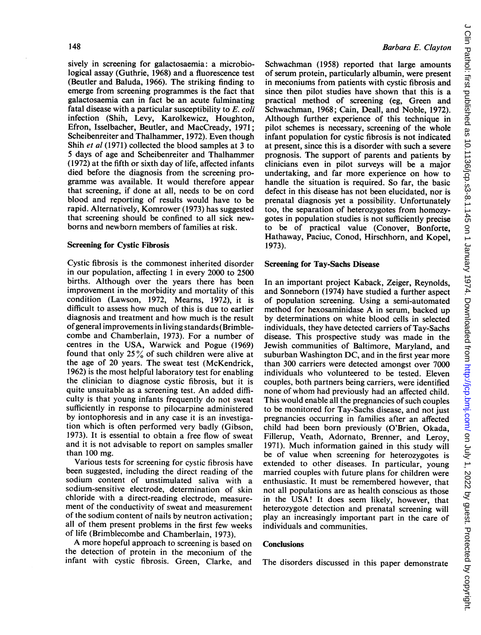sively in screening for galactosaemia: a microbiological assay (Guthrie, 1968) and a fluorescence test (Beutler and Baluda, 1966). The striking finding to emerge from screening programmes is the fact that galactosaemia can in fact be an acute fulminating fatal disease with a particular susceptibility to E. coli infection (Shih, Levy, Karolkewicz, Houghton, Efron, Isselbacher, Beutler, and MacCready, 1971; Scheibenreiter and Thalhammer, 1972). Even though Shih et al (1971) collected the blood samples at 3 to 5 days of age and Scheibenreiter and Thalhammer (1972) at the fifth or sixth day of life, affected infants died before the diagnosis from the screening programme was available. It would therefore appear that screening, if done at all, needs to be on cord blood and reporting of results would have to be rapid. Alternatively, Komrower (1973) has suggested that screening should be confined to all sick newborns and newborn members of families at risk.

#### Screening for Cystic Fibrosis

Cystic fibrosis is the commonest inherited disorder in our population, affecting <sup>1</sup> in every 2000 to 2500 births. Although over the years there has been improvement in the morbidity and mortality of this condition (Lawson, 1972, Mearns, 1972), it is difficult to assess how much of this is due to earlier diagnosis and treatment and how much is the result of general improvements in living standards (Brimblecombe and Chamberlain, 1973). For a number of centres in the USA, Warwick and Pogue (1969) found that only  $25\%$  of such children were alive at the age of 20 years. The sweat test (McKendrick, 1962) is the most helpful laboratory test for enabling the clinician to diagnose cystic fibrosis, but it is quite unsuitable as a screening test. An added difficulty is that young infants frequently do not sweat sufficiently in response to pilocarpine administered by iontophoresis and in any case it is an investigation which is often performed very badly (Gibson, 1973). It is essential to obtain a free flow of sweat and it is not advisable to report on samples smaller than 100 mg.

Various tests for screening for cystic fibrosis have been suggested, including the direct reading of the sodium content of unstimulated saliva with a sodium-sensitive electrode, determination of skin chloride with a direct-reading electrode, measurement of the conductivity of sweat and measurement of the sodium content of nails by neutron activation; all of them present problems in the first few weeks of life (Brimblecombe and Chamberlain, 1973).

A more hopeful approach to screening is based on the detection of protein in the meconium of the infant with cystic fibrosis. Green, Clarke, and Schwachman (1958) reported that large amounts of serum protein, particularly albumin, were present in meconiums from patients with cystic fibrosis and since then pilot studies have shown that this is a practical method of screening (eg, Green and Schwachman, 1968; Cain, Deall, and Noble, 1972). Although further experience of this technique in pilot schemes is necessary, screening of the whole infant population for cystic fibrosis is not indicated at present, since this is a disorder with such a severe prognosis. The support of parents and patients by clinicians even in pilot surveys will be a major undertaking, and far more experience on how to handle the situation is required. So far, the basic defect in this disease has not been elucidated, nor is prenatal diagnosis yet a possibility. Unfortunately too, the separation of heterozygotes from homozygotes in population studies is not sufficiently precise to be of practical value (Conover, Bonforte, Hathaway, Paciuc, Conod, Hirschhorn, and Kopel, 1973).

### Screening for Tay-Sachs Disease

In an important project Kaback, Zeiger, Reynolds, and Sonneborn (1974) have studied a further aspect of population screening. Using a semi-automated method for hexosaminidase A in serum, backed up by determinations on white blood cells in selected individuals, they have detected carriers of Tay-Sachs disease. This prospective study was made in the Jewish communities of Baltimore, Maryland, and suburban Washington DC, and in the first year more than 300 carriers were detected amongst over 7000 individuals who volunteered to be tested. Eleven couples, both partners being carriers, were identified none of whom had previously had an affected child. This would enable all the pregnancies of such couples to be monitored for Tay-Sachs disease, and not just pregnancies occurring in families after an affected child had been born previously (O'Brien, Okada, Fillerup, Veath, Adornato, Brenner, and Leroy, 1971). Much information gained in this study will be of value when screening for heterozygotes is extended to other diseases. In particular, young married couples with future plans for children were enthusiastic. It must be remembered however, that not all populations are as health conscious as those in the USA! It does seem likely, however, that heterozygote detection and prenatal screening will play an increasingly important part in the care of individuals and communities.

#### **Conclusions**

The disorders discussed in this paper demonstrate